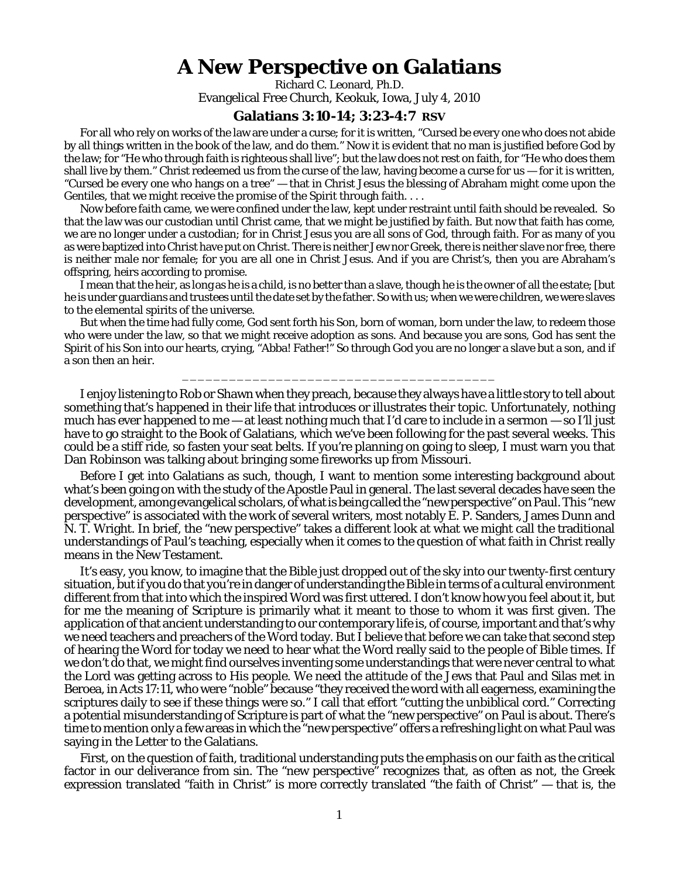## **A New Perspective on Galatians**

Richard C. Leonard, Ph.D. Evangelical Free Church, Keokuk, Iowa, July 4, 2010

## **Galatians 3:10-14; 3:23-4:7 RSV**

For all who rely on works of the law are under a curse; for it is written, "Cursed be every one who does not abide by all things written in the book of the law, and do them." Now it is evident that no man is justified before God by the law; for "He who through faith is righteous shall live"; but the law does not rest on faith, for "He who does them shall live by them." Christ redeemed us from the curse of the law, having become a curse for us  $-$  for it is written, "Cursed be every one who hangs on a tree" — that in Christ Jesus the blessing of Abraham might come upon the Gentiles, that we might receive the promise of the Spirit through faith. . . .

Now before faith came, we were confined under the law, kept under restraint until faith should be revealed. So that the law was our custodian until Christ came, that we might be justified by faith. But now that faith has come, we are no longer under a custodian; for in Christ Jesus you are all sons of God, through faith. For as many of you as were baptized into Christ have put on Christ. There is neither Jew nor Greek, there is neither slave nor free, there is neither male nor female; for you are all one in Christ Jesus. And if you are Christ's, then you are Abraham's offspring, heirs according to promise.

I mean that the heir, as long as he is a child, is no better than a slave, though he is the owner of all the estate; [but he is under guardians and trustees until the date set by the father. So with us; when we were children, we were slaves to the elemental spirits of the universe.

But when the time had fully come, God sent forth his Son, born of woman, born under the law, to redeem those who were under the law, so that we might receive adoption as sons. And because you are sons, God has sent the Spirit of his Son into our hearts, crying, "Abba! Father!" So through God you are no longer a slave but a son, and if a son then an heir.

\_\_\_\_\_\_\_\_\_\_\_\_\_\_\_\_\_\_\_\_\_\_\_\_\_\_\_\_\_\_\_\_\_\_\_\_\_\_\_\_

I enjoy listening to Rob or Shawn when they preach, because they always have a little story to tell about something that's happened in their life that introduces or illustrates their topic. Unfortunately, nothing much has ever happened to me — at least nothing much that I'd care to include in a sermon — so I'll just have to go straight to the Book of Galatians, which we've been following for the past several weeks. This could be a stiff ride, so fasten your seat belts. If you're planning on going to sleep, I must warn you that Dan Robinson was talking about bringing some fireworks up from Missouri.

Before I get into Galatians as such, though, I want to mention some interesting background about what's been going on with the study of the Apostle Paul in general. The last several decades have seen the development, among evangelical scholars, of what is being called the "new perspective" on Paul. This "new perspective" is associated with the work of several writers, most notably E. P. Sanders, James Dunn and N. T. Wright. In brief, the "new perspective" takes a different look at what we might call the traditional understandings of Paul's teaching, especially when it comes to the question of what faith in Christ really means in the New Testament.

It's easy, you know, to imagine that the Bible just dropped out of the sky into our twenty-first century situation, but if you do that you're in danger of understanding the Bible in terms of a cultural environment different from that into which the inspired Word was first uttered. I don't know how you feel about it, but for me the meaning of Scripture is primarily what it meant to those to whom it was first given. The application of that ancient understanding to our contemporary life is, of course, important and that's why we need teachers and preachers of the Word today. But I believe that before we can take that second step of hearing the Word for today we need to hear what the Word really said to the people of Bible times. If we don't do that, we might find ourselves inventing some understandings that were never central to what the Lord was getting across to His people. We need the attitude of the Jews that Paul and Silas met in Beroea, in Acts 17:11, who were "noble" because "they received the word with all eagerness, examining the scriptures daily to see if these things were so." I call that effort "cutting the unbiblical cord." Correcting a potential misunderstanding of Scripture is part of what the "new perspective" on Paul is about. There's time to mention only a few areas in which the "new perspective" offers a refreshing light on what Paul was saying in the Letter to the Galatians.

First, on the question of faith, traditional understanding puts the emphasis on *our* faith as the critical factor in our deliverance from sin. The "new perspective" recognizes that, as often as not, the Greek expression translated "faith *in* Christ" is more correctly translated "the faith *of* Christ" — that is, *the*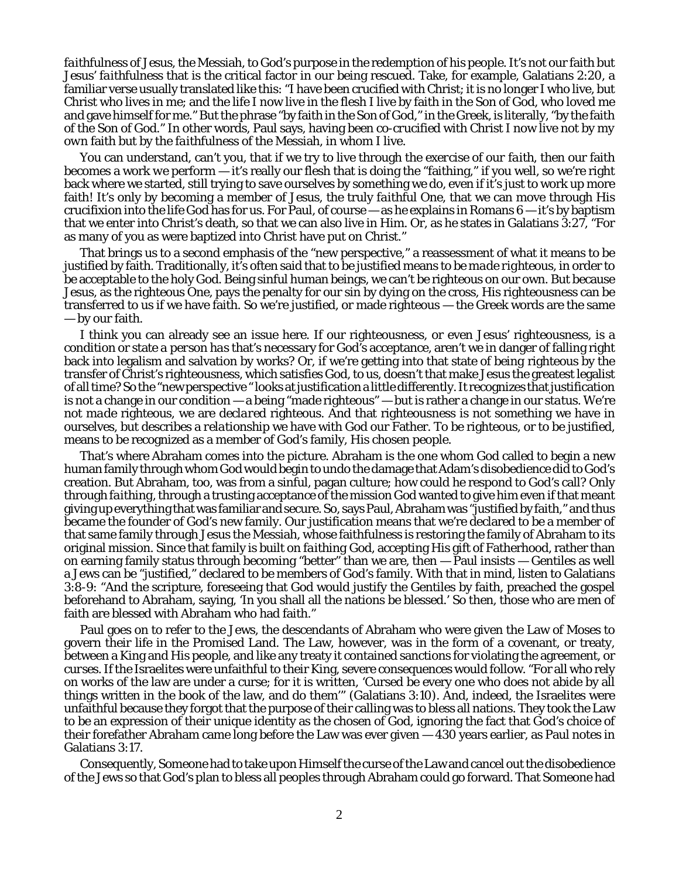*faithfulness of Jesus*, the Messiah, to God's purpose in the redemption of his people. It's not our faith but *Jesus' faithfulness* that is the critical factor in our being rescued. Take, for example, Galatians 2:20, a familiar verse usually translated like this: "I have been crucified with Christ; it is no longer I who live, but Christ who lives in me; and the life I now live in the flesh I live by faith in the Son of God, who loved me and gave himself for me." But the phrase "by faith in the Son of God," in the Greek, is literally, "by the faith *of* the Son of God." In other words, Paul says, having been *co-crucified* with Christ I now live not by *my own* faith but by the *faithfulness* of the Messiah, in whom I live.

You can understand, can't you, that if we try to live through the *exercise of our faith*, then our faith becomes a work *we* perform — it's really our flesh that is doing the "faithing," if you well, so we're right back where we started, still trying to save ourselves by something we do, even if it's just to work up more faith! It's only by becoming a member of Jesus, the truly *faithful* One, that we can move through His crucifixion into the life God has for us. For Paul, of course  $-\infty$  he explains in Romans 6  $-$  it's by baptism that we enter into Christ's death, so that we can also live in Him. Or, as he states in Galatians 3:27, "For as many of you as were baptized into Christ have put on Christ."

That brings us to a second emphasis of the "new perspective," a reassessment of what it means to be justified by faith. Traditionally, it's often said that to be justified means *to be made righteous,* in order to be acceptable to the holy God. Being sinful human beings, we can't be righteous on our own. But because Jesus, as the righteous One, pays the penalty for our sin by dying on the cross, His righteousness can be transferred to us if we have faith. So we're justified, or made righteous — the Greek words are the same — by our faith.

I think you can already see an issue here. If our righteousness, or even Jesus' righteousness, is a condition or state *a person has* that's necessary for God's acceptance, aren't we in danger of falling right back into legalism and salvation by works? Or, if we're getting into that state of *being* righteous by the transfer of Christ's righteousness, which satisfies God, to us, doesn't that make Jesus the greatest legalist of all time? So the "new perspective " looks at justification a little differently. It recognizes that justification is not a change in our condition — a being "made righteous" — but is rather a change in our *status*. We're not *made* righteous, we are *declared* righteous. And that righteousness is not something we have in ourselves, but describes a *relationship* we have with God our Father. To be righteous, or to be justified, means to be recognized as a member of God's family, His chosen people.

That's where Abraham comes into the picture. Abraham is the one whom God called to begin a new human family through whom God would begin to undo the damage that Adam's disobedience did to God's creation. But Abraham, too, was from a sinful, pagan culture; how could he respond to God's call? Only through *faithing*, through a trusting acceptance of the mission God wanted to give him even if that meant giving up everything that was familiar and secure. So, says Paul, Abraham was "justified by faith," and thus became the founder of God's new family. Our justification means that we're declared to be a member of that same family through Jesus the Messiah, whose faithfulness is restoring the family of Abraham to its original mission. Since that family is built on *faithing* God, accepting His gift of Fatherhood, rather than on earning family status through becoming "better" than we are, then — Paul insists — Gentiles as well a Jews can be "justified," declared to be members of God's family. With that in mind, listen to Galatians 3:8-9: "And the scripture, foreseeing that God would justify the Gentiles by faith, preached the gospel beforehand to Abraham, saying, 'In you shall all the nations be blessed.' So then, those who are men of faith are blessed with Abraham who had faith."

Paul goes on to refer to the Jews, the descendants of Abraham who were given the Law of Moses to govern their life in the Promised Land. The Law, however, was in the form of a covenant, or treaty, between a King and His people, and like any treaty it contained sanctions for violating the agreement, or *curses*. If the Israelites were unfaithful to their King, severe consequences would follow. "For all who rely on works of the law are under a curse; for it is written, 'Cursed be every one who does not abide by all things written in the book of the law, and do them" (Galatians 3:10). And, indeed, the Israelites were unfaithful because they forgot that the purpose of their calling was to bless all nations. They took the Law to be an expression of their unique identity as the chosen of God, ignoring the fact that God's choice of their forefather Abraham came long before the Law was ever given — 430 years earlier, as Paul notes in Galatians 3:17.

Consequently, Someone had to take upon Himself the curse of the Law and cancel out the disobedience of the Jews so that God's plan to bless all peoples through Abraham could go forward. That Someone had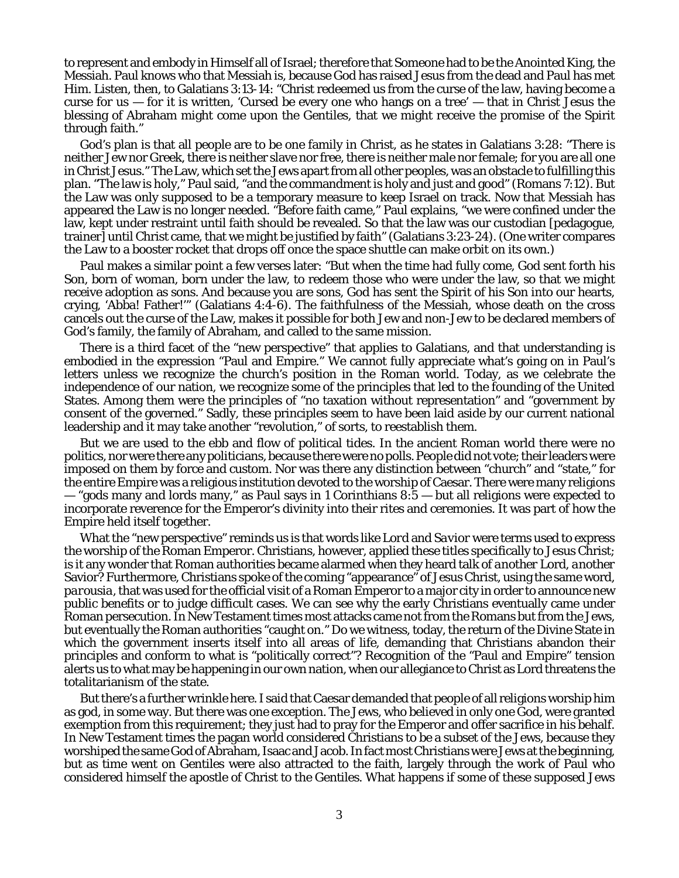to represent and embody in Himself all of Israel; therefore that Someone had to be the Anointed King, the Messiah. Paul knows who that Messiah is, because God has raised Jesus from the dead and Paul has met Him. Listen, then, to Galatians 3:13-14: "Christ redeemed us from the curse of the law, having become a curse for us  $-$  for it is written, 'Cursed be every one who hangs on a tree'  $-$  that in Christ Jesus the blessing of Abraham might come upon the Gentiles, that we might receive the promise of the Spirit through faith."

God's plan is that all people are to be one family in Christ, as he states in Galatians 3:28: "There is neither Jew nor Greek, there is neither slave nor free, there is neither male nor female; for you are all one in Christ Jesus." The Law, which set the Jews apart from all other peoples, was an obstacle to fulfilling this plan. "The law is holy," Paul said, "and the commandment is holy and just and good" (Romans 7:12). But the Law was only supposed to be a temporary measure to keep Israel on track. Now that Messiah has appeared the Law is no longer needed. "Before faith came," Paul explains, "we were confined under the law, kept under restraint until faith should be revealed. So that the law was our custodian [pedagogue, trainer] until Christ came, that we might be justified by faith" (Galatians 3:23-24). (One writer compares the Law to a booster rocket that drops off once the space shuttle can make orbit on its own.)

Paul makes a similar point a few verses later: "But when the time had fully come, God sent forth his Son, born of woman, born under the law, to redeem those who were under the law, so that we might receive adoption as sons. And because you are sons, God has sent the Spirit of his Son into our hearts, crying, 'Abba! Father!'" (Galatians 4:4-6). The faithfulness of the Messiah, whose death on the cross cancels out the curse of the Law, makes it possible for both Jew and non-Jew to be declared members of God's family, the family of Abraham, and called to the same mission.

There is a third facet of the "new perspective" that applies to Galatians, and that understanding is embodied in the expression "Paul and Empire." We cannot fully appreciate what's going on in Paul's letters unless we recognize the church's position in the Roman world. Today, as we celebrate the independence of our nation, we recognize some of the principles that led to the founding of the United States. Among them were the principles of "no taxation without representation" and "government by consent of the governed." Sadly, these principles seem to have been laid aside by our current national leadership and it may take another "revolution," of sorts, to reestablish them.

But we are used to the ebb and flow of political tides. In the ancient Roman world there were no politics, nor were there any politicians, because there were no *polls*. People did not vote; their leaders were imposed on them by force and custom. Nor was there any distinction between "church" and "state," for the entire Empire was a religious institution devoted to the worship of Caesar. There were many religions — "gods many and lords many," as Paul says in 1 Corinthians 8:5 — but all religions were expected to incorporate reverence for the Emperor's divinity into their rites and ceremonies. It was part of how the Empire held itself together.

What the "new perspective" reminds us is that words like *Lord* and *Savior* were terms used to express the worship of the Roman Emperor. Christians, however, applied these titles specifically to Jesus Christ; is it any wonder that Roman authorities became alarmed when they heard talk of *another* Lord, *another* Savior? Furthermore, Christians spoke of the coming "appearance" of Jesus Christ, using the same word, *parousia*, that was used for the official visit of a Roman Emperor to a major city in order to announce new public benefits or to judge difficult cases. We can see why the early Christians eventually came under Roman persecution. In New Testament times most attacks came not from the Romans but from the Jews, but eventually the Roman authorities "caught on." Do we witness, today, the return of the Divine State in which the government inserts itself into all areas of life, demanding that Christians abandon their principles and conform to what is "politically correct"? Recognition of the "Paul and Empire" tension alerts us to what may be happening in our own nation, when our allegiance to Christ as Lord threatens the totalitarianism of the state.

But there's a further wrinkle here. I said that Caesar demanded that people of all religions worship him as god, in some way. But there was one exception. The Jews, who believed in only one God, were granted exemption from this requirement; they just had to pray for the Emperor and offer sacrifice in his behalf. In New Testament times the pagan world considered Christians to be a subset of the Jews, because they worshiped the same God of Abraham, Isaac and Jacob. In fact most Christians were Jews at the beginning, but as time went on Gentiles were also attracted to the faith, largely through the work of Paul who considered himself the apostle of Christ to the Gentiles. What happens if some of these supposed Jews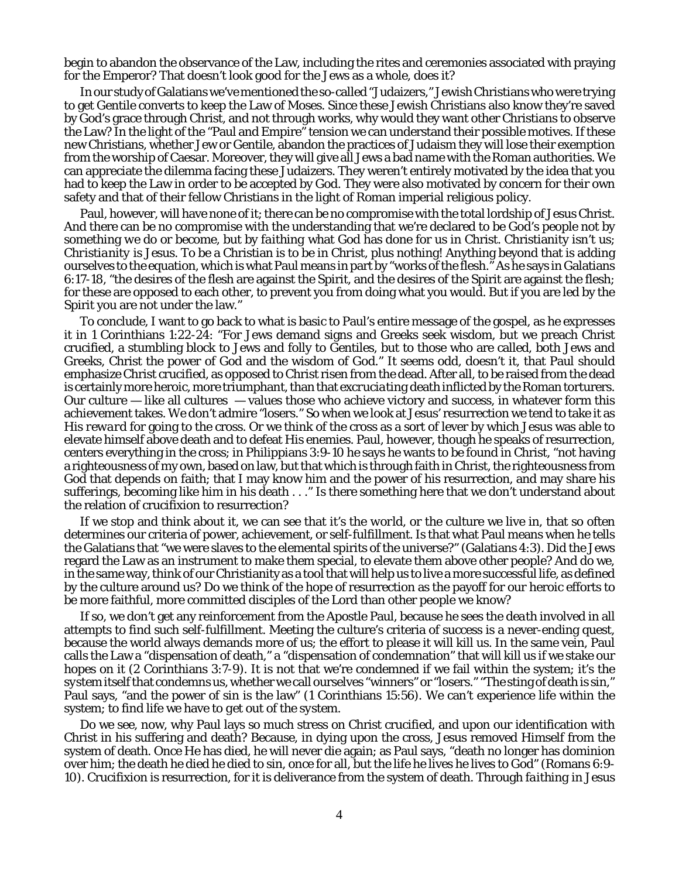begin to abandon the observance of the Law, including the rites and ceremonies associated with praying for the Emperor? That doesn't look good for the Jews as a whole, does it?

In our study of Galatians we've mentioned the so-called "Judaizers," Jewish Christians who were trying to get Gentile converts to keep the Law of Moses. Since these Jewish Christians also know they're saved by God's grace through Christ, and not through works, why would they want other Christians to observe the Law? In the light of the "Paul and Empire" tension we can understand their possible motives. If these new Christians, whether Jew or Gentile, abandon the practices of Judaism they will lose their exemption from the worship of Caesar. Moreover, they will give all Jews a bad name with the Roman authorities. We can appreciate the dilemma facing these Judaizers. They weren't entirely motivated by the idea that you had to keep the Law in order to be accepted by God. They were also motivated by concern for their own safety and that of their fellow Christians in the light of Roman imperial religious policy.

Paul, however, will have none of it; there can be no compromise with the total lordship of Jesus Christ. And there can be no compromise with the understanding that we're declared to be God's people not by something *we* do or become, but by *faithing* what God has done for us in Christ. Christianity isn't us; *Christianity is Jesus*. To be a Christian is to be *in Christ*, plus nothing! Anything beyond that is adding ourselves to the equation, which is what Paul means in part by "works of the flesh." As he says in Galatians 6:17-18, "the desires of the flesh are against the Spirit, and the desires of the Spirit are against the flesh; for these are opposed to each other, to prevent you from doing what you would. But if you are led by the Spirit you are not under the law."

To conclude, I want to go back to what is basic to Paul's entire message of the gospel, as he expresses it in 1 Corinthians 1:22-24: "For Jews demand signs and Greeks seek wisdom, but we preach Christ crucified, a stumbling block to Jews and folly to Gentiles, but to those who are called, both Jews and Greeks, Christ the power of God and the wisdom of God." It seems odd, doesn't it, that Paul should emphasize Christ crucified, as opposed to Christ risen from the dead. After all, to be raised from the dead is certainly more heroic, more triumphant, than that *excruciating* death inflicted by the Roman torturers. Our culture — like all cultures — values those who achieve victory and success, in whatever form this achievement takes. We don't admire "losers." So when we look at Jesus' resurrection we tend to take it as His *reward* for going to the cross. Or we think of the cross as a sort of lever by which Jesus was able to elevate himself above death and to defeat His enemies. Paul, however, though he speaks of resurrection, centers everything in the cross; in Philippians 3:9-10 he says he wants to be found in Christ, "not having a righteousness of my own, based on law, but that which is through faith in Christ, the righteousness from God that depends on faith; that I may know him and the power of his resurrection, and may share his sufferings, becoming like him in his death . . ." Is there something here that we don't understand about the relation of crucifixion to resurrection?

If we stop and think about it, we can see that it's the *world*, or the culture we live in, that so often determines our criteria of power, achievement, or self-fulfillment. Is that what Paul means when he tells the Galatians that "we were slaves to the elemental spirits of the universe?" (Galatians 4:3). Did the Jews regard the Law as an instrument to make them special, to elevate them above other people? And do we, in the same way, think of our Christianity as a tool that will help us to live a more successful life, as defined by the culture around us? Do we think of the hope of resurrection as the payoff for our heroic efforts to be more faithful, more committed disciples of the Lord than other people we know?

If so, we don't get any reinforcement from the Apostle Paul, because he sees the *death* involved in all attempts to find such self-fulfillment. Meeting the culture's criteria of success is a never-ending quest, because the world always demands more of us; the effort to please it will kill us. In the same vein, Paul calls the Law a "dispensation of death," a "dispensation of condemnation" that will kill us if we stake our hopes on it (2 Corinthians 3:7-9). It is not that we're condemned if we fail within the system; it's the *system itself* that condemns us, whether we call ourselves "winners" or "losers." "The sting of death is sin," Paul says, "and the power of sin is the law" (1 Corinthians 15:56). We can't experience life within the system; to find life we have to *get out of the system*.

Do we see, now, why Paul lays so much stress on Christ crucified, and upon our identification with Christ in his suffering and death? Because, in dying upon the cross, Jesus removed Himself from the system of death. Once He has died, he will never die again; as Paul says, "death no longer has dominion over him; the death he died he died to sin, once for all, but the life he lives he lives to God" (Romans 6:9- 10). Crucifixion *is* resurrection, for it is deliverance from the system of death. Through *faithing* in Jesus